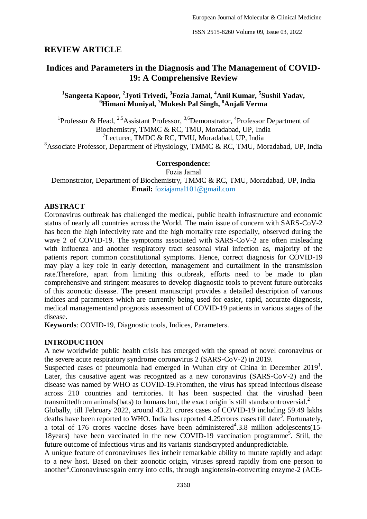# **REVIEW ARTICLE**

# **Indices and Parameters in the Diagnosis and The Management of COVID-19: A Comprehensive Review**

**1 Sangeeta Kapoor, <sup>2</sup> Jyoti Trivedi, <sup>3</sup> Fozia Jamal, <sup>4</sup>Anil Kumar, <sup>5</sup> Sushil Yadav, <sup>6</sup>Himani Muniyal, <sup>7</sup>Mukesh Pal Singh, <sup>8</sup>Anjali Verma**

<sup>1</sup>Professor & Head, <sup>2,5</sup>Assistant Professor, <sup>3,6</sup>Demonstrator, <sup>4</sup>Professor Department of Biochemistry, TMMC & RC, TMU, Moradabad, UP, India 7 Lecturer, TMDC & RC, TMU, Moradabad, UP, India <sup>8</sup>Associate Professor, Department of Physiology, TMMC & RC, TMU, Moradabad, UP, India

### **Correspondence:**

Fozia Jamal

Demonstrator, Department of Biochemistry, TMMC & RC, TMU, Moradabad, UP, India **Email:** foziajamal101@gmail.com

#### **ABSTRACT**

Coronavirus outbreak has challenged the medical, public health infrastructure and economic status of nearly all countries across the World. The main issue of concern with SARS-CoV-2 has been the high infectivity rate and the high mortality rate especially, observed during the wave 2 of COVID-19. The symptoms associated with SARS-CoV-2 are often misleading with influenza and another respiratory tract seasonal viral infection as, majority of the patients report common constitutional symptoms. Hence, correct diagnosis for COVID-19 may play a key role in early detection, management and curtailment in the transmission rate.Therefore, apart from limiting this outbreak, efforts need to be made to plan comprehensive and stringent measures to develop diagnostic tools to prevent future outbreaks of this zoonotic disease. The present manuscript provides a detailed description of various indices and parameters which are currently being used for easier, rapid, accurate diagnosis, medical managementand prognosis assessment of COVID-19 patients in various stages of the disease.

**Keywords**: COVID-19, Diagnostic tools, Indices, Parameters.

#### **INTRODUCTION**

A new worldwide public health crisis has emerged with the spread of novel coronavirus or the severe acute respiratory syndrome coronavirus 2 (SARS-CoV-2) in 2019.

Suspected cases of pneumonia had emerged in Wuhan city of China in December  $2019<sup>1</sup>$ . Later, this causative agent was recognized as a new coronavirus (SARS-CoV-2) and the disease was named by WHO as COVID-19.Fromthen, the virus has spread infectious disease across 210 countries and territories. It has been suspected that the virushad been transmittedfrom animals(bats) to humans but, the exact origin is still standscontroversial.<sup>2</sup>

Globally, till February 2022, around 43.21 crores cases of COVID-19 including 59.49 lakhs deaths have been reported to WHO. India has reported 4.29 crores cases till date<sup>3</sup>. Fortunately, a total of 176 crores vaccine doses have been administered<sup>4</sup>.3.8 million adolescents(15-18 years) have been vaccinated in the new COVID-19 vaccination programme<sup>5</sup>. Still, the future outcome of infectious virus and its variants standscrypted andunpredictable.

A unique feature of coronaviruses lies intheir remarkable ability to mutate rapidly and adapt to a new host. Based on their zoonotic origin, viruses spread rapidly from one person to another<sup>6</sup>.Coronavirusesgain entry into cells, through angiotensin-converting enzyme-2 (ACE-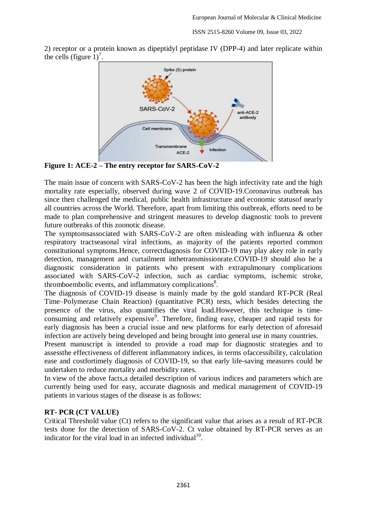2) receptor or a protein known as dipeptidyl peptidase IV (DPP-4) and later replicate within the cells (figure  $1$ )<sup>7</sup>.



**Figure 1: ACE-2 – The entry receptor for SARS-CoV-2**

The main issue of concern with SARS-CoV-2 has been the high infectivity rate and the high mortality rate especially, observed during wave 2 of COVID-19.Coronavirus outbreak has since then challenged the medical, public health infrastructure and economic statusof nearly all countries across the World. Therefore, apart from limiting this outbreak, efforts need to be made to plan comprehensive and stringent measures to develop diagnostic tools to prevent future outbreaks of this zoonotic disease.

The symptomsassociated with SARS-CoV-2 are often misleading with influenza & other respiratory tractseasonal viral infections, as majority of the patients reported common constitutional symptoms.Hence, correctdiagnosis for COVID-19 may play akey role in early detection, management and curtailment inthetransmissionrate.COVID-19 should also be a diagnostic consideration in patients who present with extrapulmonary complications associated with SARS-CoV-2 infection, such as cardiac symptoms, ischemic stroke, thromboembolic events, and inflammatory complications<sup>8</sup>.

The diagnosis of COVID-19 disease is mainly made by the gold standard RT-PCR (Real Time–Polymerase Chain Reaction) (quantitative PCR) tests, which besides detecting the presence of the virus, also quantifies the viral load.However, this technique is timeconsuming and relatively expensive<sup>9</sup>. Therefore, finding easy, cheaper and rapid tests for early diagnosis has been a crucial issue and new platforms for early detection of aforesaid infection are actively being developed and being brought into general use in many countries.

Present manuscript is intended to provide a road map for diagnostic strategies and to assessthe effectiveness of different inflammatory indices, in terms ofaccessibility, calculation ease and costfortimely diagnosis of COVID-19, so that early life-saving measures could be undertaken to reduce mortality and morbidity rates.

In view of the above facts,a detailed description of various indices and parameters which are currently being used for easy, accurate diagnosis and medical management of COVID-19 patients in various stages of the disease is as follows:

#### **RT- PCR (CT VALUE)**

Critical Threshold value (Ct) refers to the significant value that arises as a result of RT-PCR tests done for the detection of SARS-CoV-2. Ct value obtained by RT-PCR serves as an indicator for the viral load in an infected individual<sup>10</sup>.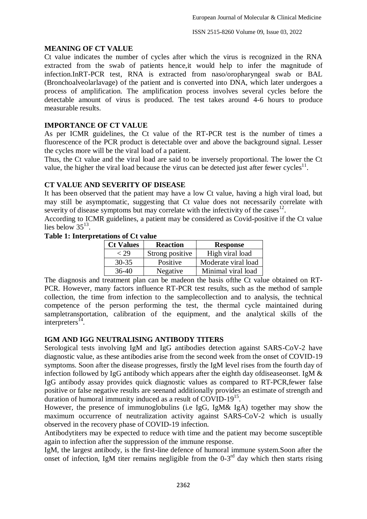### **MEANING OF CT VALUE**

Ct value indicates the number of cycles after which the virus is recognized in the RNA extracted from the swab of patients hence,it would help to infer the magnitude of infection.InRT-PCR test, RNA is extracted from naso/oropharyngeal swab or BAL (Bronchoalveolarlavage) of the patient and is converted into DNA, which later undergoes a process of amplification. The amplification process involves several cycles before the detectable amount of virus is produced. The test takes around 4-6 hours to produce measurable results.

# **IMPORTANCE OF CT VALUE**

As per ICMR guidelines, the Ct value of the RT-PCR test is the number of times a fluorescence of the PCR product is detectable over and above the background signal. Lesser the cycles more will be the viral load of a patient.

Thus, the Ct value and the viral load are said to be inversely proportional. The lower the Ct value, the higher the viral load because the virus can be detected just after fewer cycles<sup>11</sup>.

### **CT VALUE AND SEVERITY OF DISEASE**

It has been observed that the patient may have a low Ct value, having a high viral load, but may still be asymptomatic, suggesting that Ct value does not necessarily correlate with severity of disease symptoms but may correlate with the infectivity of the cases $12$ .

According to ICMR guidelines, a patient may be considered as Covid-positive if the Ct value lies below  $35^{13}$ .

#### **Table 1: Interpretations of Ct value**

| <b>Ct Values</b> | <b>Reaction</b> | <b>Response</b>     |
|------------------|-----------------|---------------------|
| < 29             | Strong positive | High viral load     |
| $30 - 35$        | Positive        | Moderate viral load |
| 36-40            | Negative        | Minimal viral load  |

The diagnosis and treatment plan can be madeon the basis ofthe Ct value obtained on RT-PCR. However, many factors influence RT-PCR test results, such as the method of sample collection, the time from infection to the samplecollection and to analysis, the technical competence of the person performing the test, the thermal cycle maintained during sampletransportation, calibration of the equipment, and the analytical skills of the interpreters<sup>14</sup>.

#### **IGM AND IGG NEUTRALISING ANTIBODY TITERS**

Serological tests involving IgM and IgG antibodies detection against SARS-CoV-2 have diagnostic value, as these antibodies arise from the second week from the onset of COVID-19 symptoms. Soon after the disease progresses, firstly the IgM level rises from the fourth day of infection followed by IgG antibody which appears after the eighth day ofdiseaseonset. IgM & IgG antibody assay provides quick diagnostic values as compared to RT-PCR,fewer false positive or false negative results are seenand additionally provides an estimate of strength and duration of humoral immunity induced as a result of COVID-19<sup>15</sup>.

However, the presence of immunoglobulins (i.e IgG, IgM& IgA) together may show the maximum occurrence of neutralization activity against SARS-CoV-2 which is usually observed in the recovery phase of COVID-19 infection.

Antibodytiters may be expected to reduce with time and the patient may become susceptible again to infection after the suppression of the immune response.

IgM, the largest antibody, is the first-line defence of humoral immune system.Soon after the onset of infection, IgM titer remains negligible from the  $0-3<sup>rd</sup>$  day which then starts rising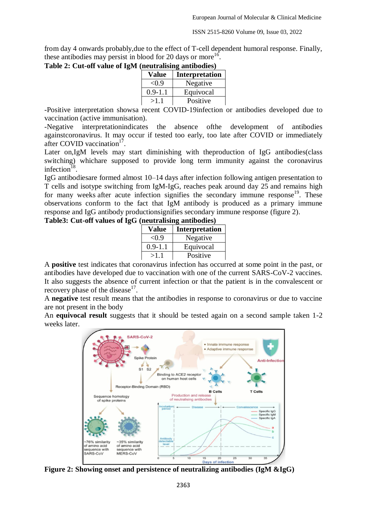from day 4 onwards probably,due to the effect of T-cell dependent humoral response. Finally, these antibodies may persist in blood for 20 days or more<sup>16</sup>.

|  |  | Table 2: Cut-off value of IgM (neutralising antibodies) |  |
|--|--|---------------------------------------------------------|--|
|  |  |                                                         |  |

| .<br><u>andoval</u> o, |                       |  |
|------------------------|-----------------------|--|
| Value                  | <b>Interpretation</b> |  |
| < 0.9                  | Negative              |  |
| $0.9 - 1.1$            | Equivocal             |  |
| >1.1                   | Positive              |  |

-Positive interpretation showsa recent COVID-19infection or antibodies developed due to vaccination (active immunisation).

-Negative interpretationindicates the absence ofthe development of antibodies againstcoronavirus. It may occur if tested too early, too late after COVID or immediately after COVID vaccination<sup>17</sup>.

Later on,IgM levels may start diminishing with theproduction of IgG antibodies(class switching) whichare supposed to provide long term immunity against the coronavirus infection<sup>18</sup>.

IgG antibodiesare formed almost 10–14 days after infection following antigen presentation to T cells and isotype switching from IgM-IgG, reaches peak around day 25 and remains high for many weeks after acute infection signifies the secondary immune response<sup>19</sup>. These observations conform to the fact that IgM antibody is produced as a primary immune response and IgG antibody productionsignifies secondary immune response (figure 2).

### **Table3: Cut-off values of IgG (neutralising antibodies)**

| <b>Value</b> | <b>Interpretation</b> |
|--------------|-----------------------|
| < 0.9        | Negative              |
| $0.9 - 1.1$  | Equivocal             |
| >1.1         | Positive              |

A **positive** test indicates that coronavirus infection has occurred at some point in the past, or antibodies have developed due to vaccination with one of the current SARS-CoV-2 vaccines. It also suggests the absence of current infection or that the patient is in the convalescent or recovery phase of the disease $17$ .

A **negative** test result means that the antibodies in response to coronavirus or due to vaccine are not present in the body

An **equivocal result** suggests that it should be tested again on a second sample taken 1-2 weeks later.



**Figure 2: Showing onset and persistence of neutralizing antibodies (IgM &IgG)**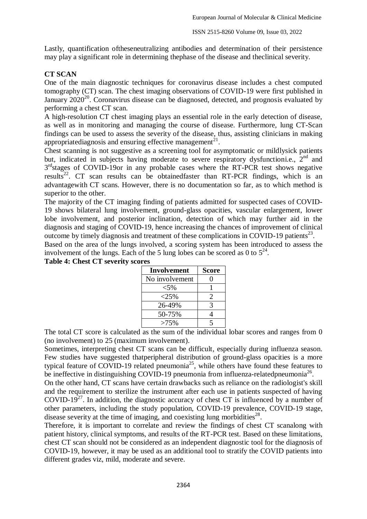Lastly, quantification oftheseneutralizing antibodies and determination of their persistence may play a significant role in determining thephase of the disease and theclinical severity.

### **CT SCAN**

One of the main diagnostic techniques for coronavirus disease includes a chest computed tomography (CT) scan. The chest imaging observations of COVID-19 were first published in January 2020<sup>20</sup>. Coronavirus disease can be diagnosed, detected, and prognosis evaluated by performing a chest CT scan.

A high-resolution CT chest imaging plays an essential role in the early detection of disease, as well as in monitoring and managing the course of disease. Furthermore, lung CT-Scan findings can be used to assess the severity of the disease, thus, assisting clinicians in making appropriatediagnosis and ensuring effective management<sup>21</sup>.

Chest scanning is not suggestive as a screening tool for asymptomatic or mildlysick patients but, indicated in subjects having moderate to severe respiratory dysfunctioni.e.,  $2<sup>nd</sup>$  and 3<sup>rd</sup>stages of COVID-19or in any probable cases where the RT-PCR test shows negative results<sup>22</sup>. CT scan results can be obtained faster than RT-PCR findings, which is an advantagewith CT scans. However, there is no documentation so far, as to which method is superior to the other.

The majority of the CT imaging finding of patients admitted for suspected cases of COVID-19 shows bilateral lung involvement, ground-glass opacities, vascular enlargement, lower lobe involvement, and posterior inclination, detection of which may further aid in the diagnosis and staging of COVID-19, hence increasing the chances of improvement of clinical outcome by timely diagnosis and treatment of these complications in COVID-19 patients<sup>23</sup>.

Based on the area of the lungs involved, a scoring system has been introduced to assess the involvement of the lungs. Each of the 5 lung lobes can be scored as 0 to  $5^{24}$ .

| Involvement    | <b>Score</b>          |
|----------------|-----------------------|
| No involvement | 0                     |
| $< 5\%$        |                       |
| $<$ 25%        | $\mathcal{D}_{\cdot}$ |
| 26-49%         | 3                     |
| 50-75%         | 4                     |
| $>75\%$        | $\leq$                |

**Table 4: Chest CT severity scores**

The total CT score is calculated as the sum of the individual lobar scores and ranges from 0 (no involvement) to 25 (maximum involvement).

Sometimes, interpreting chest CT scans can be difficult, especially during influenza season. Few studies have suggested thatperipheral distribution of ground-glass opacities is a more typical feature of COVID-19 related pneumonia<sup>25</sup>, while others have found these features to be ineffective in distinguishing COVID-19 pneumonia from influenza-relatedpneumonia<sup>26</sup>.

On the other hand, CT scans have certain drawbacks such as reliance on the radiologist's skill and the requirement to sterilize the instrument after each use in patients suspected of having COVID-19<sup>27</sup>. In addition, the diagnostic accuracy of chest CT is influenced by a number of other parameters, including the study population, COVID-19 prevalence, COVID-19 stage, disease severity at the time of imaging, and coexisting lung morbidities $^{28}$ .

Therefore, it is important to correlate and review the findings of chest CT scanalong with patient history, clinical symptoms, and results of the RT-PCR test. Based on these limitations, chest CT scan should not be considered as an independent diagnostic tool for the diagnosis of COVID-19, however, it may be used as an additional tool to stratify the COVID patients into different grades viz, mild, moderate and severe.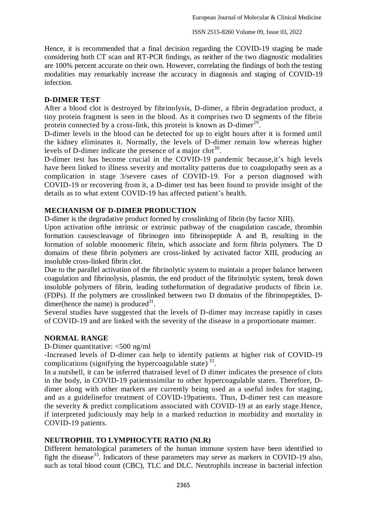Hence, it is recommended that a final decision regarding the COVID-19 staging be made considering both CT scan and RT-PCR findings, as neither of the two diagnostic modalities are 100% percent accurate on their own. However, correlating the findings of both the testing modalities may remarkably increase the accuracy in diagnosis and staging of COVID-19 infection.

#### **D-DIMER TEST**

After a blood clot is destroyed by fibrinolysis, D-dimer, a fibrin degradation product, a tiny protein fragment is seen in the blood. As it comprises two D segments of the fibrin protein connected by a cross-link, this protein is known as D-dimer<sup>29</sup>.

D-dimer levels in the blood can be detected for up to eight hours after it is formed until the kidney eliminates it. Normally, the levels of D-dimer remain low whereas higher levels of D-dimer indicate the presence of a major clot<sup>30</sup>.

D-dimer test has become crucial in the COVID-19 pandemic because,it's high levels have been linked to illness severity and mortality patterns due to coagulopathy seen as a complication in stage 3/severe cases of COVID-19. For a person diagnosed with COVID-19 or recovering from it, a D-dimer test has been found to provide insight of the details as to what extent COVID-19 has affected patient's health.

#### **MECHANISM OF D-DIMER PRODUCTION**

D-dimer is the degradative product formed by crosslinking of fibrin (by factor XIII).

Upon activation ofthe intrinsic or extrinsic pathway of the coagulation cascade, thrombin formation causescleavage of fibrinogen into fibrinopeptide A and B, resulting in the formation of soluble monomeric fibrin, which associate and form fibrin polymers. The D domains of these fibrin polymers are cross-linked by activated factor XIII, producing an insoluble cross-linked fibrin clot.

Due to the parallel activation of the fibrinolytic system to maintain a proper balance between coagulation and fibrinolysis, plasmin, the end product of the fibrinolytic system, break down insoluble polymers of fibrin, leading totheformation of degradative products of fibrin i.e. (FDPs). If the polymers are crosslinked between two D domains of the fibrinopeptides, Ddimer(hence the name) is produced $31$ .

Several studies have suggested that the levels of D-dimer may increase rapidly in cases of COVID-19 and are linked with the severity of the disease in a proportionate manner.

#### **NORMAL RANGE**

D-Dimer quantitative: <500 ng/ml

-Increased levels of D-dimer can help to identify patients at higher risk of COVID-19 complications (signifying the hypercoagulable state)<sup>32</sup>.

In a nutshell, it can be inferred thatraised level of D dimer indicates the presence of clots in the body, in COVID-19 patientssimilar to other hypercoagulable states. Therefore, Ddimer along with other markers are currently being used as a useful index for staging, and as a guidelinefor treatment of COVID-19patients. Thus, D-dimer test can measure the severity & predict complications associated with COVID-19 at an early stage.Hence, if interpreted judiciously may help in a marked reduction in morbidity and mortality in COVID-19 patients.

### **NEUTROPHIL TO LYMPHOCYTE RATIO (NLR)**

Different hematological parameters of the human immune system have been identified to fight the disease<sup>33</sup>. Indicators of these parameters may serve as markers in COVID-19 also, such as total blood count (CBC), TLC and DLC. Neutrophils increase in bacterial infection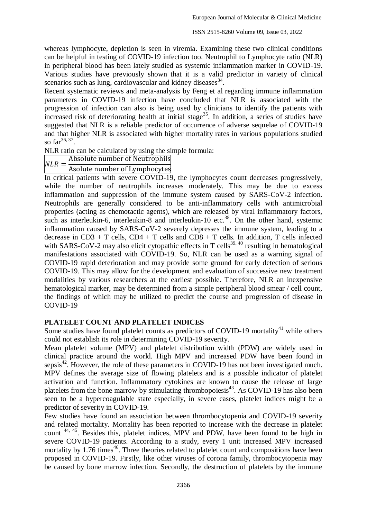whereas lymphocyte, depletion is seen in viremia. Examining these two clinical conditions can be helpful in testing of COVID-19 infection too. Neutrophil to Lymphocyte ratio (NLR) in peripheral blood has been lately studied as systemic inflammation marker in COVID-19. Various studies have previously shown that it is a valid predictor in variety of clinical scenarios such as lung, cardiovascular and kidney diseases<sup>34</sup>.

Recent systematic reviews and meta-analysis by Feng et al regarding immune inflammation parameters in COVID-19 infection have concluded that NLR is associated with the progression of infection can also is being used by clinicians to identify the patients with increased risk of deteriorating health at initial stage<sup>35</sup>. In addition, a series of studies have suggested that NLR is a reliable predictor of occurrence of adverse sequelae of COVID-19 and that higher NLR is associated with higher mortality rates in various populations studied so  $far^{36, 37}$ .

NLR ratio can be calculated by using the simple formula:

Absolute number of Neutrophils

 $NLR =$ Asolute number of Lymphocytes

In critical patients with severe COVID-19, the lymphocytes count decreases progressively, while the number of neutrophils increases moderately. This may be due to excess inflammation and suppression of the immune system caused by SARS-CoV-2 infection. Neutrophils are generally considered to be anti-inflammatory cells with antimicrobial properties (acting as chemotactic agents), which are released by viral inflammatory factors, such as interleukin-6, interleukin-8 and interleukin-10 etc.<sup>38</sup>. On the other hand, systemic inflammation caused by SARS-CoV-2 severely depresses the immune system, leading to a decrease in  $CD3 + T$  cells,  $CD4 + T$  cells and  $CD8 + T$  cells. In addition, T cells infected with SARS-CoV-2 may also elicit cytopathic effects in T cells<sup>39, 40</sup> resulting in hematological manifestations associated with COVID-19. So, NLR can be used as a warning signal of COVID-19 rapid deterioration and may provide some ground for early detection of serious COVID-19. This may allow for the development and evaluation of successive new treatment modalities by various researchers at the earliest possible. Therefore, NLR an inexpensive hematological marker, may be determined from a simple peripheral blood smear / cell count, the findings of which may be utilized to predict the course and progression of disease in COVID-19

# **PLATELET COUNT AND PLATELET INDICES**

Some studies have found platelet counts as predictors of COVID-19 mortality<sup>41</sup> while others could not establish its role in determining COVID-19 severity.

Mean platelet volume (MPV) and platelet distribution width (PDW) are widely used in clinical practice around the world. High MPV and increased PDW have been found in sepsis<sup>42</sup>. However, the role of these parameters in COVID-19 has not been investigated much. MPV defines the average size of flowing platelets and is a possible indicator of platelet activation and function. Inflammatory cytokines are known to cause the release of large platelets from the bone marrow by stimulating thrombopoiesis<sup>43</sup>. As COVID-19 has also been seen to be a hypercoagulable state especially, in severe cases, platelet indices might be a predictor of severity in COVID-19.

Few studies have found an association between thrombocytopenia and COVID-19 severity and related mortality. Mortality has been reported to increase with the decrease in platelet count 44, 45. Besides this, platelet indices, MPV and PDW, have been found to be high in severe COVID-19 patients. According to a study, every 1 unit increased MPV increased mortality by  $1.76$  times<sup>46</sup>. Three theories related to platelet count and compositions have been proposed in COVID-19. Firstly, like other viruses of corona family, thrombocytopenia may be caused by bone marrow infection. Secondly, the destruction of platelets by the immune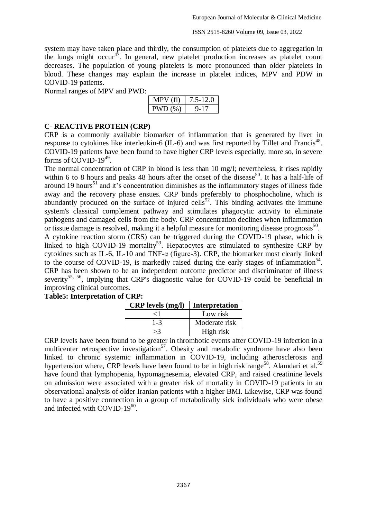system may have taken place and thirdly, the consumption of platelets due to aggregation in the lungs might occur<sup>47</sup>. In general, new platelet production increases as platelet count decreases. The population of young platelets is more pronounced than older platelets in blood. These changes may explain the increase in platelet indices, MPV and PDW in COVID-19 patients.

Normal ranges of MPV and PWD:

| (1)  | 5-12.0 |
|------|--------|
| VD(% |        |

### **C- REACTIVE PROTEIN (CRP)**

CRP is a commonly available biomarker of inflammation that is generated by liver in response to cytokines like interleukin-6 (IL-6) and was first reported by Tillet and Francis<sup>48</sup>. COVID-19 patients have been found to have higher CRP levels especially, more so, in severe forms of COVID-19 $49$ .

The normal concentration of CRP in blood is less than 10 mg/l; nevertheless, it rises rapidly within 6 to 8 hours and peaks 48 hours after the onset of the disease<sup>50</sup>. It has a half-life of around 19 hours<sup>51</sup> and it's concentration diminishes as the inflammatory stages of illness fade away and the recovery phase ensues. CRP binds preferably to phosphocholine, which is abundantly produced on the surface of injured cells<sup>52</sup>. This binding activates the immune system's classical complement pathway and stimulates phagocytic activity to eliminate pathogens and damaged cells from the body. CRP concentration declines when inflammation or tissue damage is resolved, making it a helpful measure for monitoring disease prognosis<sup>50</sup>. A cytokine reaction storm (CRS) can be triggered during the COVID-19 phase, which is linked to high COVID-19 mortality<sup>53</sup>. Hepatocytes are stimulated to synthesize CRP by cytokines such as IL-6, IL-10 and TNF- $\alpha$  (figure-3). CRP, the biomarker most clearly linked to the course of COVID-19, is markedly raised during the early stages of inflammation<sup>54</sup>. CRP has been shown to be an independent outcome predictor and discriminator of illness severity<sup>55, 56</sup>, implying that CRP's diagnostic value for COVID-19 could be beneficial in improving clinical outcomes.

#### **Table5: Interpretation of CRP:**

| <b>CRP</b> levels (mg/l) | <b>Interpretation</b> |  |
|--------------------------|-----------------------|--|
| ╱┨                       | Low risk              |  |
| $1 - 3$                  | Moderate risk         |  |
|                          | High risk             |  |

CRP levels have been found to be greater in thrombotic events after COVID-19 infection in a multicenter retrospective investigation<sup>57</sup>. Obesity and metabolic syndrome have also been linked to chronic systemic inflammation in COVID-19, including atherosclerosis and hypertension where, CRP levels have been found to be in high risk range<sup>58</sup>. Alamdari et al.<sup>59</sup> have found that lymphopenia, hypomagnesemia, elevated CRP, and raised creatinine levels on admission were associated with a greater risk of mortality in COVID-19 patients in an observational analysis of older Iranian patients with a higher BMI. Likewise, CRP was found to have a positive connection in a group of metabolically sick individuals who were obese and infected with COVID-19<sup>60</sup>.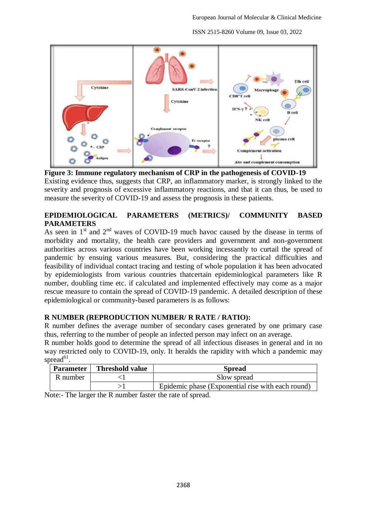

**Figure 3: Immune regulatory mechanism of CRP in the pathogenesis of COVID-19** Existing evidence thus, suggests that CRP, an inflammatory marker, is strongly linked to the severity and prognosis of excessive inflammatory reactions, and that it can thus, be used to measure the severity of COVID-19 and assess the prognosis in these patients.

# **EPIDEMIOLOGICAL PARAMETERS (METRICS)/ COMMUNITY BASED PARAMETERS**

As seen in  $1<sup>st</sup>$  and  $2<sup>nd</sup>$  waves of COVID-19 much havoc caused by the disease in terms of morbidity and mortality, the health care providers and government and non-government authorities across various countries have been working incessantly to curtail the spread of pandemic by ensuing various measures. But, considering the practical difficulties and feasibility of individual contact tracing and testing of whole population it has been advocated by epidemiologists from various countries thatcertain epidemiological parameters like R number, doubling time etc. if calculated and implemented effectively may come as a major rescue measure to contain the spread of COVID-19 pandemic. A detailed description of these epidemiological or community-based parameters is as follows:

# **R NUMBER (REPRODUCTION NUMBER/ R RATE / RATIO):**

R number defines the average number of secondary cases generated by one primary case thus, referring to the number of people an infected person may infect on an average.

R number holds good to determine the spread of all infectious diseases in general and in no way restricted only to COVID-19, only. It heralds the rapidity with which a pandemic may spread<sup>61</sup>.

| <b>Parameter</b> | <b>Threshold value</b> | <b>Spread</b>                                     |
|------------------|------------------------|---------------------------------------------------|
| R number         |                        | Slow spread                                       |
|                  |                        | Epidemic phase (Exponential rise with each round) |

Note:- The larger the R number faster the rate of spread.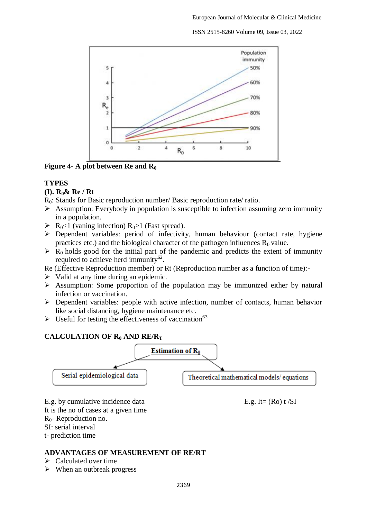

**Figure 4- A plot between Re and R<sup>0</sup>**

# **TYPES**

# **(I). R0& Re / Rt**

- R<sub>0</sub>: Stands for Basic reproduction number/ Basic reproduction rate/ ratio.
- $\triangleright$  Assumption: Everybody in population is susceptible to infection assuming zero immunity in a population.
- $\triangleright$  R<sub>0</sub><1 (vaning infection) R<sub>0</sub>>1 (Fast spread).
- $\triangleright$  Dependent variables: period of infectivity, human behaviour (contact rate, hygiene practices etc.) and the biological character of the pathogen influences  $R_0$  value.
- $\triangleright$  R<sub>0</sub> holds good for the initial part of the pandemic and predicts the extent of immunity required to achieve herd immunity $62$ .
- Re (Effective Reproduction member) or Rt (Reproduction number as a function of time):-
- $\triangleright$  Valid at any time during an epidemic.
- Assumption: Some proportion of the population may be immunized either by natural infection or vaccination.
- $\triangleright$  Dependent variables: people with active infection, number of contacts, human behavior like social distancing, hygiene maintenance etc.
- $\triangleright$  Useful for testing the effectiveness of vaccination<sup>63</sup>

# **CALCULATION OF R<sup>0</sup> AND RE/R<sup>T</sup>**



E.g. by cumulative incidence data  $E.g. \text{It} = (Ro) t / SI$ 

It is the no of cases at a given time

R0- Reproduction no.

SI: serial interval

t- prediction time

# **ADVANTAGES OF MEASUREMENT OF RE/RT**

- $\triangleright$  Calculated over time
- $\triangleright$  When an outbreak progress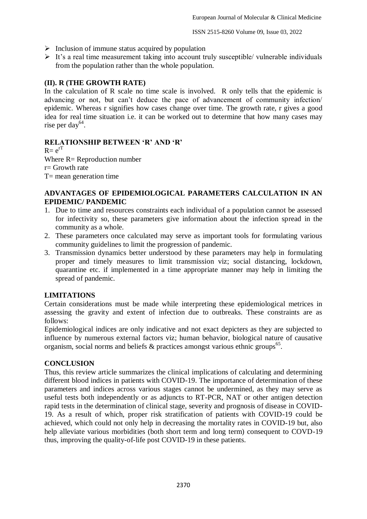- $\triangleright$  Inclusion of immune status acquired by population
- $\triangleright$  It's a real time measurement taking into account truly susceptible/ vulnerable individuals from the population rather than the whole population.

# **(II). R (THE GROWTH RATE)**

In the calculation of R scale no time scale is involved. R only tells that the epidemic is advancing or not, but can't deduce the pace of advancement of community infection/ epidemic. Whereas r signifies how cases change over time. The growth rate, r gives a good idea for real time situation i.e. it can be worked out to determine that how many cases may rise per day<sup>64</sup>.

# **RELATIONSHIP BETWEEN 'R' AND 'R'**

 $R = e^{rT}$ Where  $R =$  Reproduction number  $r =$  Growth rate  $T=$  mean generation time

### **ADVANTAGES OF EPIDEMIOLOGICAL PARAMETERS CALCULATION IN AN EPIDEMIC/ PANDEMIC**

- 1. Due to time and resources constraints each individual of a population cannot be assessed for infectivity so, these parameters give information about the infection spread in the community as a whole.
- 2. These parameters once calculated may serve as important tools for formulating various community guidelines to limit the progression of pandemic.
- 3. Transmission dynamics better understood by these parameters may help in formulating proper and timely measures to limit transmission viz; social distancing, lockdown, quarantine etc. if implemented in a time appropriate manner may help in limiting the spread of pandemic.

# **LIMITATIONS**

Certain considerations must be made while interpreting these epidemiological metrices in assessing the gravity and extent of infection due to outbreaks. These constraints are as follows:

Epidemiological indices are only indicative and not exact depicters as they are subjected to influence by numerous external factors viz; human behavior, biological nature of causative organism, social norms and beliefs  $\&$  practices amongst various ethnic groups<sup>65</sup>.

#### **CONCLUSION**

Thus, this review article summarizes the clinical implications of calculating and determining different blood indices in patients with COVID-19. The importance of determination of these parameters and indices across various stages cannot be undermined, as they may serve as useful tests both independently or as adjuncts to RT-PCR, NAT or other antigen detection rapid tests in the determination of clinical stage, severity and prognosis of disease in COVID-19. As a result of which, proper risk stratification of patients with COVID-19 could be achieved, which could not only help in decreasing the mortality rates in COVID-19 but, also help alleviate various morbidities (both short term and long term) consequent to COVD-19 thus, improving the quality-of-life post COVID-19 in these patients.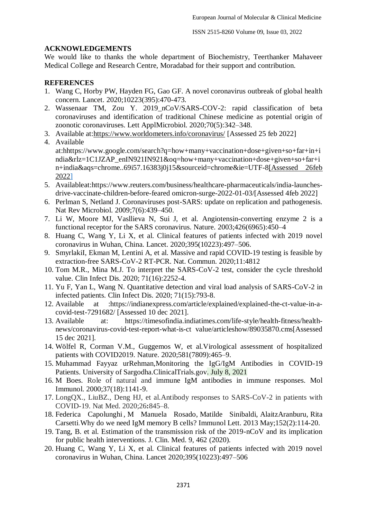### **ACKNOWLEDGEMENTS**

We would like to thanks the whole department of Biochemistry, Teerthanker Mahaveer Medical College and Research Centre, Moradabad for their support and contribution.

### **REFERENCES**

- 1. Wang C, Horby PW, Hayden FG, Gao GF. A novel coronavirus outbreak of global health concern. Lancet. 2020;10223(395):470-473.
- 2. Wassenaar TM, Zou Y. 2019\_nCoV/SARS-COV-2: rapid classification of beta coronaviruses and identification of traditional Chinese medicine as potential origin of zoonotic coronaviruses. Lett ApplMicrobiol. 2020;70(5):342–348.
- 3. Available at[:https://www.worldometers.info/coronavirus/](https://www.worldometers.info/coronavirus/) [Assessed 25 feb 2022]
- 4. Available at:hhttps://www.google.com/search?q=how+many+vaccination+dose+given+so+far+in+i ndia&rlz=1C1JZAP\_enIN921IN921&oq=how+many+vaccination+dose+given+so+far+i n+india&aqs=chrome..69i57.16383j0j15&sourceid=chrome&ie=UTF-8[Assessed 26feb 2022]
- 5. Availableat:https://www.reuters.com/business/healthcare-pharmaceuticals/india-launchesdrive-vaccinate-children-before-feared omicron-surge-2022-01-03/[Assessed 4feb 2022]
- 6. Perlman S, Netland J. Coronaviruses post-SARS: update on replication and pathogenesis. Nat Rev Microbiol. 2009;7(6):439–450.
- 7. Li W, Moore MJ, Vasllieva N, Sui J, et al. Angiotensin-converting enzyme 2 is a functional receptor for the SARS coronavirus. Nature. 2003;426(6965):450–4
- 8. Huang C, Wang Y, Li X, et al. Clinical features of patients infected with 2019 novel coronavirus in Wuhan, China. Lancet. 2020;395(10223):497–506.
- 9. SmyrlakiI, Ekman M, Lentini A, et al. Massive and rapid COVID-19 testing is feasible by extraction-free SARS-CoV-2 RT-PCR. Nat. Commun. 2020;11:4812
- 10. Tom M.R., Mina M.J. To interpret the SARS-CoV-2 test, consider the cycle threshold value. Clin Infect Dis. 2020; 71(16):2252-4.
- 11. Yu F, Yan L, Wang N. Quantitative detection and viral load analysis of SARS-CoV-2 in infected patients. Clin Infect Dis. 2020; 71(15):793-8.
- 12. Available at :https://indianexpress.com/article/explained/explained-the-ct-value-in-acovid-test-7291682/ [Assessed 10 dec 2021].
- 13. Available at: https://timesofindia.indiatimes.com/life-style/health-fitness/healthnews/coronavirus-covid-test-report-what-is-ct value/articleshow/89035870.cms[Assessed 15 dec 2021].
- 14. Wölfel R, Corman V.M., Guggemos W, et al.Virological assessment of hospitalized patients with COVID2019. Nature. 2020;581(7809):465–9.
- 15. Muhammad Fayyaz urRehman,Monitoring the IgG/IgM Antibodies in COVID-19 Patients. University of Sargodha.ClinicalTrials.gov. July 8, 2021
- 16. M Boes. Role of natural and immune IgM antibodies in immune responses. Mol Immunol. 2000;37(18):1141-9.
- 17. LongQX., LiuBZ., Deng HJ, et al.Antibody responses to SARS-CoV-2 in patients with COVID-19. Nat Med. 2020;26**:**845–8.
- 18. [Federica Capolunghi](https://pubmed.ncbi.nlm.nih.gov/?term=Capolunghi+F&cauthor_id=23660557) , [M Manuela Rosado,](https://pubmed.ncbi.nlm.nih.gov/?term=Rosado+MM&cauthor_id=23660557) [Matilde Sinibaldi,](https://pubmed.ncbi.nlm.nih.gov/?term=Sinibaldi+M&cauthor_id=23660557) [AlaitzAranburu,](https://pubmed.ncbi.nlm.nih.gov/?term=Aranburu+A&cauthor_id=23660557) [Rita](https://pubmed.ncbi.nlm.nih.gov/?term=Carsetti+R&cauthor_id=23660557)  [Carsetti.](https://pubmed.ncbi.nlm.nih.gov/?term=Carsetti+R&cauthor_id=23660557)Why do we need IgM memory B cells? Immunol Lett. 2013 May;152(2):114-20.
- 19. Tang, B. et al. Estimation of the transmission risk of the 2019-nCoV and its implication for public health interventions. J. Clin. Med. 9, 462 (2020).
- 20. Huang C, Wang Y, Li X, et al. Clinical features of patients infected with 2019 novel coronavirus in Wuhan, China. Lancet 2020;395(10223):497–506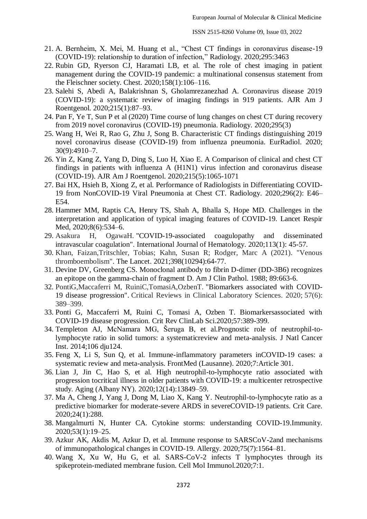- 21. A. Bernheim, X. Mei, M. Huang et al., "Chest CT findings in coronavirus disease-19 (COVID-19): relationship to duration of infection," Radiology. 2020;295:3463
- 22. Rubin GD, Ryerson CJ, Haramati LB, et al. The role of chest imaging in patient management during the COVID-19 pandemic: a multinational consensus statement from the Fleischner society. Chest. 2020;158(1):106–116.
- 23. Salehi S, Abedi A, Balakrishnan S, Gholamrezanezhad A. Coronavirus disease 2019 (COVID-19): a systematic review of imaging findings in 919 patients. AJR Am J Roentgenol. 2020;215(1):87–93.
- 24. Pan F, Ye T, Sun P et al (2020) Time course of lung changes on chest CT during recovery from 2019 novel coronavirus (COVID-19) pneumonia. Radiology. 2020;295(3)
- 25. Wang H, Wei R, Rao G, Zhu J, Song B. Characteristic CT findings distinguishing 2019 novel coronavirus disease (COVID-19) from influenza pneumonia. EurRadiol. 2020; 30(9):4910–7.
- 26. Yin Z, Kang Z, Yang D, Ding S, Luo H, Xiao E. A Comparison of clinical and chest CT findings in patients with influenza A (H1N1) virus infection and coronavirus disease (COVID-19). AJR Am J Roentgenol. 2020;215(5):1065-1071
- 27. Bai HX, Hsieh B, Xiong Z, et al. Performance of Radiologists in Differentiating COVID-19 from NonCOVID-19 Viral Pneumonia at Chest CT. Radiology. 2020;296(2): E46– E54.
- 28. Hammer MM, Raptis CA, Henry TS, Shah A, Bhalla S, Hope MD. Challenges in the interpretation and application of typical imaging features of COVID-19. Lancet Respir Med, 2020;8(6):534–6.
- 29. Asakura H, OgawaH. "COVID-19-associated coagulopathy and disseminated intravascular coagulation". International Journal of Hematology. 2020;113(1): 45-57.
- 30. Khan, Faizan,Tritschler, Tobias; Kahn, Susan R; Rodger, Marc A (2021). "Venous thromboembolism". The Lancet. 2021;398(10294):64-77.
- 31. Devine DV, Greenberg CS. Monoclonal antibody to fibrin D-dimer (DD-3B6) recognizes an epitope on the gamma-chain of fragment D. Am J Clin Pathol. 1988; 89:663-6.
- 32. PontiG,Maccaferri M, RuiniC,TomasiA,OzbenT. ["Biomarkers associated with COVID-](https://www.ncbi.nlm.nih.gov/pmc/articles/PMC7284147)[19 disease progression".](https://www.ncbi.nlm.nih.gov/pmc/articles/PMC7284147) Critical Reviews in Clinical Laboratory Sciences. 2020; 57(6): 389–399.
- 33. Ponti G, Maccaferri M, Ruini C, Tomasi A, Ozben T. Biomarkersassociated with COVID-19 disease progression. Crit Rev ClinLab Sci.2020;57:389-399.
- 34. Templeton AJ, McNamara MG, Šeruga B, et al.Prognostic role of neutrophil-tolymphocyte ratio in solid tumors: a systematicreview and meta-analysis. J Natl Cancer Inst. 2014;106 dju124.
- 35. Feng X, Li S, Sun Q, et al. Immune-inflammatory parameters inCOVID-19 cases: a systematic review and meta-analysis. FrontMed (Lausanne). 2020;7:Article 301.
- 36. Lian J, Jin C, Hao S, et al. High neutrophil-to-lymphocyte ratio associated with progression tocritical illness in older patients with COVID-19: a multicenter retrospective study. Aging (Albany NY). 2020;12(14):13849–59.
- 37. Ma A, Cheng J, Yang J, Dong M, Liao X, Kang Y. Neutrophil-to-lymphocyte ratio as a predictive biomarker for moderate-severe ARDS in severeCOVID-19 patients. Crit Care. 2020;24(1):288.
- 38. Mangalmurti N, Hunter CA. Cytokine storms: understanding COVID-19.Immunity. 2020;53(1):19–25.
- 39. Azkur AK, Akdis M, Azkur D, et al. Immune response to SARSCoV-2and mechanisms of immunopathological changes in COVID-19. Allergy. 2020;75(7):1564–81.
- 40. Wang X, Xu W, Hu G, et al. SARS-CoV-2 infects T lymphocytes through its spikeprotein-mediated membrane fusion. Cell Mol Immunol.2020;7:1.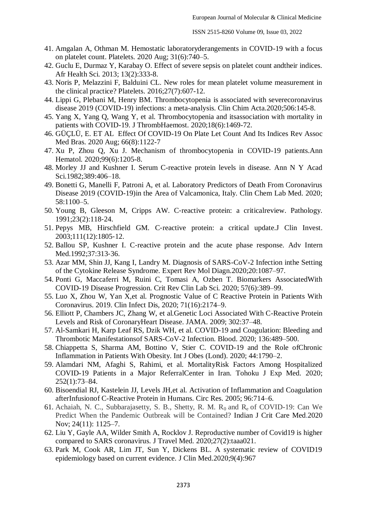- 41. Amgalan A, Othman M. Hemostatic laboratoryderangements in COVID-19 with a focus on platelet count. Platelets. 2020 Aug; 31(6):740–5.
- 42. Guclu E, Durmaz Y, Karabay O. Effect of severe sepsis on platelet count andtheir indices. Afr Health Sci. 2013; 13(2):333-8.
- 43. Noris P, Melazzini F, Balduini CL. New roles for mean platelet volume measurement in the clinical practice? Platelets. 2016;27(7):607-12.
- 44. Lippi G, Plebani M, Henry BM. Thrombocytopenia is associated with severecoronavirus disease 2019 (COVID-19) infections: a meta-analysis. Clin Chim Acta.2020;506:145-8.
- 45. Yang X, Yang Q, Wang Y, et al. Thrombocytopenia and itsassociation with mortality in patients with COVID-19. J ThrombHaemost. 2020;18(6):1469-72.
- 46. GÜÇLÜ, E. ET AL Effect Of COVID-19 On Plate Let Count And Its Indices Rev Assoc Med Bras. 2020 Aug; 66(8):1122-7
- 47. Xu P, Zhou Q, Xu J. Mechanism of thrombocytopenia in COVID-19 patients.Ann Hematol. 2020;99(6):1205-8.
- 48. Morley JJ and Kushner I. Serum C-reactive protein levels in disease. Ann N Y Acad Sci.1982;389:406–18.
- 49. Bonetti G, Manelli F, Patroni A, et al. Laboratory Predictors of Death From Coronavirus Disease 2019 (COVID-19)in the Area of Valcamonica, Italy. Clin Chem Lab Med. 2020; 58:1100–5.
- 50. Young B, Gleeson M, Cripps AW. C‐reactive protein: a criticalreview. Pathology. 1991;23(2):118‐24.
- 51. Pepys MB, Hirschfield GM. C‐reactive protein: a critical update.J Clin Invest. 2003;111(12):1805‐12.
- 52. Ballou SP, Kushner I. C‐reactive protein and the acute phase response. Adv Intern Med.1992;37:313-36.
- 53. Azar MM, Shin JJ, Kang I, Landry M. Diagnosis of SARS-CoV-2 Infection inthe Setting of the Cytokine Release Syndrome. Expert Rev Mol Diagn.2020;20:1087–97.
- 54. Ponti G, Maccaferri M, Ruini C, Tomasi A, Ozben T. Biomarkers AssociatedWith COVID-19 Disease Progression. Crit Rev Clin Lab Sci. 2020; 57(6):389–99.
- 55. Luo X, Zhou W, Yan X,et al. Prognostic Value of C Reactive Protein in Patients With Coronavirus. 2019. Clin Infect Dis, 2020; 71(16):2174–9.
- 56. Elliott P, Chambers JC, Zhang W, et al.Genetic Loci Associated With C-Reactive Protein Levels and Risk of CoronaryHeart Disease. JAMA. 2009; 302:37–48.
- 57. Al-Samkari H, Karp Leaf RS, Dzik WH, et al. COVID-19 and Coagulation: Bleeding and Thrombotic Manifestationsof SARS-CoV-2 Infection. Blood. 2020; 136:489–500.
- 58. Chiappetta S, Sharma AM, Bottino V, Stier C. COVID-19 and the Role ofChronic Inflammation in Patients With Obesity. Int J Obes (Lond). 2020; 44:1790–2.
- 59. Alamdari NM, Afaghi S, Rahimi, et al. MortalityRisk Factors Among Hospitalized COVID-19 Patients in a Major ReferralCenter in Iran. Tohoku J Exp Med. 2020; 252(1):73–84.
- 60. Bisoendial RJ, Kastelein JJ, Levels JH,et al. Activation of Inflammation and Coagulation afterInfusionof C-Reactive Protein in Humans. Circ Res. 2005; 96:714–6.
- 61. Achaiah, N. C., Subbarajasetty, S. B., Shetty, R. M.  $R_0$  and  $R_e$  of COVID-19: Can We Predict When the Pandemic Outbreak will be Contained? Indian J Crit Care Med.2020 Nov; 24(11): 1125–7.
- 62. Liu Y, Gayle AA, Wilder Smith A, Rocklov J. Reproductive number of Covid19 is higher compared to SARS coronavirus. J Travel Med. 2020;27(2):taaa021.
- 63. Park M, Cook AR, Lim JT, Sun Y, Dickens BL. A systematic review of COVID19 epidemiology based on current evidence. J Clin Med.2020;9(4):967